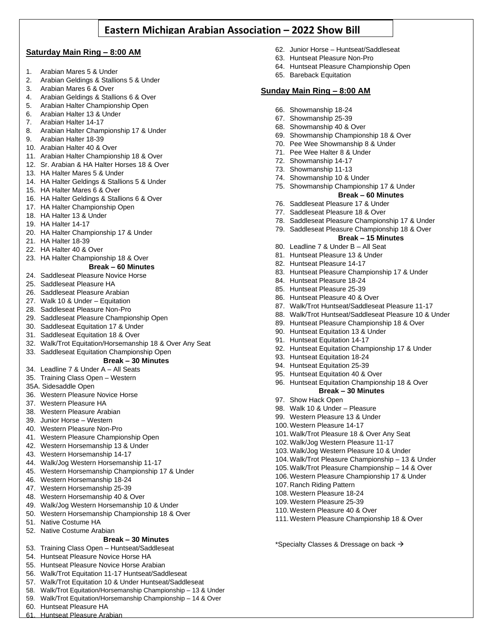# **Eastern Michigan Arabian Association – 2022 Show Bill**

## **Saturday Main Ring – 8:00 AM**

- 1. Arabian Mares 5 & Under
- 2. Arabian Geldings & Stallions 5 & Under
- 3. Arabian Mares 6 & Over
- 4. Arabian Geldings & Stallions 6 & Over
- 5. Arabian Halter Championship Open
- 6. Arabian Halter 13 & Under
- 7. Arabian Halter 14-17
- 8. Arabian Halter Championship 17 & Under
- 9. Arabian Halter 18-39
- 10. Arabian Halter 40 & Over
- 11. Arabian Halter Championship 18 & Over
- 12. Sr. Arabian & HA Halter Horses 18 & Over
- 13. HA Halter Mares 5 & Under
- 14. HA Halter Geldings & Stallions 5 & Under
- 15. HA Halter Mares 6 & Over
- 16. HA Halter Geldings & Stallions 6 & Over
- 17. HA Halter Championship Open
- 18. HA Halter 13 & Under
- 19. HA Halter 14-17
- 20. HA Halter Championship 17 & Under
- 21. HA Halter 18-39
- 22. HA Halter 40 & Over
- 23. HA Halter Championship 18 & Over

### **Break – 60 Minutes**

- 24. Saddleseat Pleasure Novice Horse
- 25. Saddleseat Pleasure HA
- 26. Saddleseat Pleasure Arabian
- 27. Walk 10 & Under Equitation
- 28. Saddleseat Pleasure Non-Pro
- 29. Saddleseat Pleasure Championship Open
- 30. Saddleseat Equitation 17 & Under
- 31. Saddleseat Equitation 18 & Over
- 32. Walk/Trot Equitation/Horsemanship 18 & Over Any Seat
- 33. Saddleseat Equitation Championship Open

## **Break – 30 Minutes**

- 34. Leadline 7 & Under A All Seats
- 35. Training Class Open Western
- 35A. Sidesaddle Open
- 36. Western Pleasure Novice Horse
- 37. Western Pleasure HA
- 38. Western Pleasure Arabian
- 39. Junior Horse Western
- 40. Western Pleasure Non-Pro
- 41. Western Pleasure Championship Open
- 42. Western Horsemanship 13 & Under
- 43. Western Horsemanship 14-17
- 44. Walk/Jog Western Horsemanship 11-17
- 45. Western Horsemanship Championship 17 & Under
- 46. Western Horsemanship 18-24
- 47. Western Horsemanship 25-39
- 48. Western Horsemanship 40 & Over
- 49. Walk/Jog Western Horsemanship 10 & Under
- 50. Western Horsemanship Championship 18 & Over
- 51. Native Costume HA
- 52. Native Costume Arabian

### **Break – 30 Minutes**

- 53. Training Class Open Huntseat/Saddleseat
- 54. Huntseat Pleasure Novice Horse HA
- 55. Huntseat Pleasure Novice Horse Arabian
- 56. Walk/Trot Equitation 11-17 Huntseat/Saddleseat
- 57. Walk/Trot Equitation 10 & Under Huntseat/Saddleseat
- 58. Walk/Trot Equitation/Horsemanship Championship 13 & Under
- 59. Walk/Trot Equitation/Horsemanship Championship 14 & Over
- 60. Huntseat Pleasure HA
- 61. Huntseat Pleasure Arabian
- 62. Junior Horse Huntseat/Saddleseat
- 63. Huntseat Pleasure Non-Pro
- 64. Huntseat Pleasure Championship Open
- 65. Bareback Equitation

# **Sunday Main Ring – 8:00 AM**

- 66. Showmanship 18-24
- 67. Showmanship 25-39
- 68. Showmanship 40 & Over
- 69. Showmanship Championship 18 & Over
- 70. Pee Wee Showmanship 8 & Under
- 71. Pee Wee Halter 8 & Under
- 72. Showmanship 14-17
- 73. Showmanship 11-13
- 74. Showmanship 10 & Under
- 75. Showmanship Championship 17 & Under **Break – 60 Minutes**
- 76. Saddleseat Pleasure 17 & Under
- 77. Saddleseat Pleasure 18 & Over
- 78. Saddleseat Pleasure Championship 17 & Under
- 79. Saddleseat Pleasure Championship 18 & Over
	- **Break – 15 Minutes**
- 80. Leadline 7 & Under B All Seat
- 81. Huntseat Pleasure 13 & Under
- 82. Huntseat Pleasure 14-17
- 83. Huntseat Pleasure Championship 17 & Under
- 84. Huntseat Pleasure 18-24
- 85. Huntseat Pleasure 25-39
- 86. Huntseat Pleasure 40 & Over
- 87. Walk/Trot Huntseat/Saddleseat Pleasure 11-17
- 88. Walk/Trot Huntseat/Saddleseat Pleasure 10 & Under
- 89. Huntseat Pleasure Championship 18 & Over
- 90. Huntseat Equitation 13 & Under
- 91. Huntseat Equitation 14-17

93. Huntseat Equitation 18-24 94. Huntseat Equitation 25-39 95. Huntseat Equitation 40 & Over

98. Walk 10 & Under – Pleasure 99. Western Pleasure 13 & Under 100. Western Pleasure 14-17

97. Show Hack Open

107. Ranch Riding Pattern 108. Western Pleasure 18-24 109. Western Pleasure 25-39 110. Western Pleasure 40 & Over

92. Huntseat Equitation Championship 17 & Under

96. Huntseat Equitation Championship 18 & Over **Break – 30 Minutes**

101. Walk/Trot Pleasure 18 & Over Any Seat 102. Walk/Jog Western Pleasure 11-17 103. Walk/Jog Western Pleasure 10 & Under 104. Walk/Trot Pleasure Championship – 13 & Under 105. Walk/Trot Pleasure Championship – 14 & Over 106. Western Pleasure Championship 17 & Under

111. Western Pleasure Championship 18 & Over

\*Specialty Classes & Dressage on back →